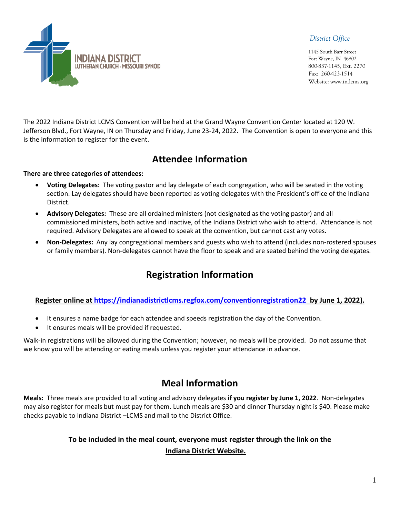*District Office*

 1145 South Barr Street Fort Wayne, IN 46802 800-837-1145, Ext. 2270 Fax: 260-423-1514 Website: www.in.lcms.org



The 2022 Indiana District LCMS Convention will be held at the Grand Wayne Convention Center located at 120 W. Jefferson Blvd., Fort Wayne, IN on Thursday and Friday, June 23-24, 2022. The Convention is open to everyone and this is the information to register for the event.

## **Attendee Information**

#### **There are three categories of attendees:**

- **Voting Delegates:** The voting pastor and lay delegate of each congregation, who will be seated in the voting section. Lay delegates should have been reported as voting delegates with the President's office of the Indiana District.
- **Advisory Delegates:** These are all ordained ministers (not designated as the voting pastor) and all commissioned ministers, both active and inactive, of the Indiana District who wish to attend. Attendance is not required. Advisory Delegates are allowed to speak at the convention, but cannot cast any votes.
- **Non-Delegates:** Any lay congregational members and guests who wish to attend (includes non-rostered spouses or family members). Non-delegates cannot have the floor to speak and are seated behind the voting delegates.

# **Registration Information**

#### **Register online at<https://indianadistrictlcms.regfox.com/conventionregistration22> by June 1, 2022).**

- It ensures a name badge for each attendee and speeds registration the day of the Convention.
- It ensures meals will be provided if requested.

Walk-in registrations will be allowed during the Convention; however, no meals will be provided. Do not assume that we know you will be attending or eating meals unless you register your attendance in advance.

### **Meal Information**

**Meals:** Three meals are provided to all voting and advisory delegates **if you register by June 1, 2022**. Non-delegates may also register for meals but must pay for them. Lunch meals are \$30 and dinner Thursday night is \$40. Please make checks payable to Indiana District –LCMS and mail to the District Office.

### **To be included in the meal count, everyone must register through the link on the Indiana District Website.**